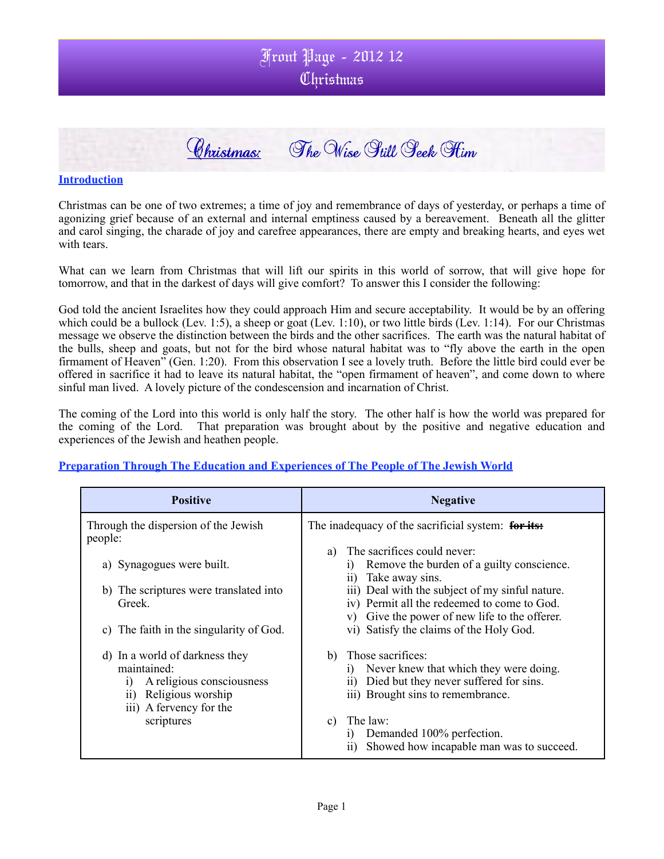

#### **Introduction**

Christmas can be one of two extremes; a time of joy and remembrance of days of yesterday, or perhaps a time of agonizing grief because of an external and internal emptiness caused by a bereavement. Beneath all the glitter and carol singing, the charade of joy and carefree appearances, there are empty and breaking hearts, and eyes wet with tears.

What can we learn from Christmas that will lift our spirits in this world of sorrow, that will give hope for tomorrow, and that in the darkest of days will give comfort? To answer this I consider the following:

God told the ancient Israelites how they could approach Him and secure acceptability. It would be by an offering which could be a bullock (Lev. 1:5), a sheep or goat (Lev. 1:10), or two little birds (Lev. 1:14). For our Christmas message we observe the distinction between the birds and the other sacrifices. The earth was the natural habitat of the bulls, sheep and goats, but not for the bird whose natural habitat was to "fly above the earth in the open firmament of Heaven" (Gen. 1:20). From this observation I see a lovely truth. Before the little bird could ever be offered in sacrifice it had to leave its natural habitat, the "open firmament of heaven", and come down to where sinful man lived. A lovely picture of the condescension and incarnation of Christ.

The coming of the Lord into this world is only half the story. The other half is how the world was prepared for the coming of the Lord. That preparation was brought about by the positive and negative education and experiences of the Jewish and heathen people.

#### **Preparation Through The Education and Experiences of The People of The Jewish World**

| <b>Positive</b>                                                                                                                             | <b>Negative</b>                                                                                                                                                                                                                                                                    |
|---------------------------------------------------------------------------------------------------------------------------------------------|------------------------------------------------------------------------------------------------------------------------------------------------------------------------------------------------------------------------------------------------------------------------------------|
| Through the dispersion of the Jewish<br>people:<br>a) Synagogues were built.<br>b) The scriptures were translated into<br>Greek.            | The inadequacy of the sacrificial system: for its:<br>The sacrifices could never:<br>a)<br>Remove the burden of a guilty conscience.<br>1)<br>Take away sins.<br>$\overline{11}$<br>iii) Deal with the subject of my sinful nature.<br>iv) Permit all the redeemed to come to God. |
| The faith in the singularity of God.<br>C)                                                                                                  | Give the power of new life to the offerer.<br>V)<br>vi) Satisfy the claims of the Holy God.                                                                                                                                                                                        |
| d) In a world of darkness they<br>maintained:<br>A religious consciousness<br>$_{1}$<br>Religious worship<br>11)<br>iii) A fervency for the | b) Those sacrifices:<br>Never knew that which they were doing.<br>1)<br>Died but they never suffered for sins.<br>11)<br>iii) Brought sins to remembrance.                                                                                                                         |
| scriptures                                                                                                                                  | The law:<br>c)<br>Demanded 100% perfection.<br>1)<br>Showed how incapable man was to succeed.<br>$\overline{11}$                                                                                                                                                                   |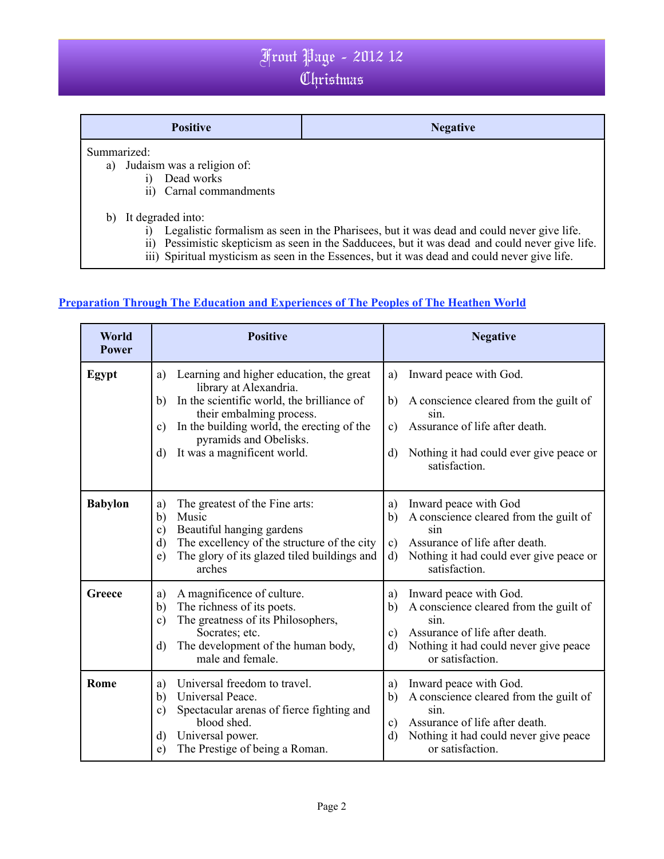| <b>Positive</b>                              | <b>Negative</b> |
|----------------------------------------------|-----------------|
| Summarized:<br>a) Judaism was a religion of: |                 |
| Dead works<br>i)                             |                 |
| Carnal commandments<br>$\overline{ii}$       |                 |

- b) It degraded into:
	- i) Legalistic formalism as seen in the Pharisees, but it was dead and could never give life.
	- ii) Pessimistic skepticism as seen in the Sadducees, but it was dead and could never give life.
	- iii) Spiritual mysticism as seen in the Essences, but it was dead and could never give life.

### **Preparation Through The Education and Experiences of The Peoples of The Heathen World**

| World<br><b>Power</b> | <b>Positive</b>                                                                                                                                                                                                                                                             | <b>Negative</b>                                                                                                                                                                                            |
|-----------------------|-----------------------------------------------------------------------------------------------------------------------------------------------------------------------------------------------------------------------------------------------------------------------------|------------------------------------------------------------------------------------------------------------------------------------------------------------------------------------------------------------|
| Egypt                 | Learning and higher education, the great<br>a)<br>library at Alexandria.<br>In the scientific world, the brilliance of<br>b)<br>their embalming process.<br>In the building world, the erecting of the<br>c)<br>pyramids and Obelisks.<br>It was a magnificent world.<br>d) | Inward peace with God.<br>a)<br>b)<br>A conscience cleared from the guilt of<br>sin.<br>Assurance of life after death.<br>c)<br>Nothing it had could ever give peace or<br>d)<br>satisfaction.             |
| <b>Babylon</b>        | The greatest of the Fine arts:<br>a)<br>Music<br>b)<br>Beautiful hanging gardens<br>$\mathbf{c})$<br>The excellency of the structure of the city<br>$\mathbf{d}$<br>The glory of its glazed tiled buildings and<br>e)<br>arches                                             | Inward peace with God<br>a)<br>A conscience cleared from the guilt of<br>b)<br>sin<br>Assurance of life after death.<br>c)<br>Nothing it had could ever give peace or<br>$\mathbf{d}$<br>satisfaction.     |
| Greece                | A magnificence of culture.<br>a)<br>The richness of its poets.<br>b)<br>The greatness of its Philosophers,<br>$\mathbf{c})$<br>Socrates; etc.<br>The development of the human body,<br>$\mathbf{d}$<br>male and female.                                                     | Inward peace with God.<br>a)<br>A conscience cleared from the guilt of<br>b)<br>sin<br>Assurance of life after death.<br>c)<br>Nothing it had could never give peace<br>d)<br>or satisfaction.             |
| Rome                  | Universal freedom to travel.<br>a)<br>Universal Peace.<br>$\mathbf{b}$<br>Spectacular arenas of fierce fighting and<br>$\mathbf{c})$<br>blood shed.<br>Universal power.<br>$\mathbf{d}$<br>The Prestige of being a Roman.<br>e)                                             | Inward peace with God.<br>a)<br>A conscience cleared from the guilt of<br>b)<br>sin.<br>Assurance of life after death.<br>$\mathbf{c})$<br>Nothing it had could never give peace<br>d)<br>or satisfaction. |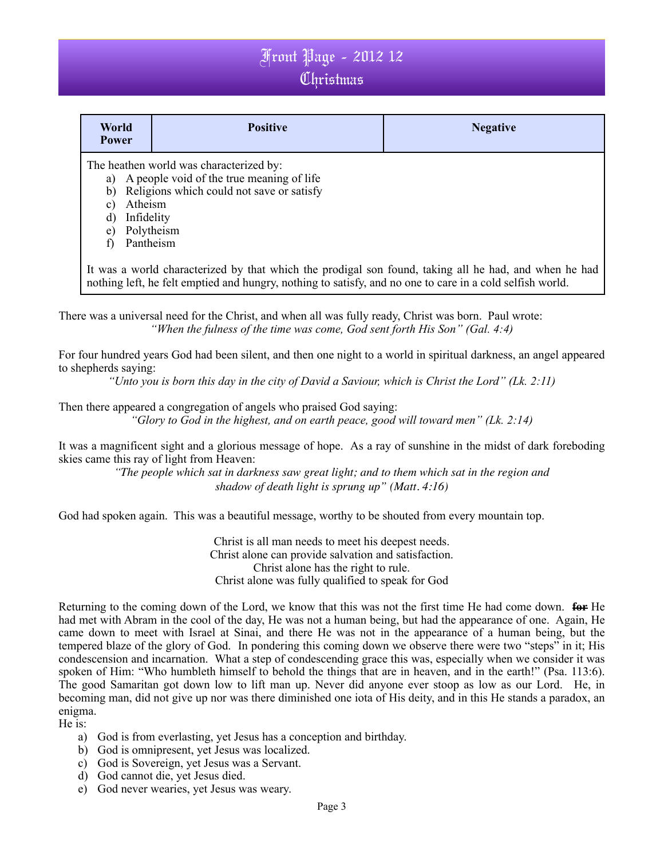| World<br><b>Power</b>                                                                                                                                                                                              | <b>Positive</b>                                                                                                                      | <b>Negative</b> |
|--------------------------------------------------------------------------------------------------------------------------------------------------------------------------------------------------------------------|--------------------------------------------------------------------------------------------------------------------------------------|-----------------|
| b)<br>Atheism<br>C)<br>Infidelity<br>d)<br>Polytheism<br>e)<br>Pantheism                                                                                                                                           | The heathen world was characterized by:<br>a) A people void of the true meaning of life<br>Religions which could not save or satisfy |                 |
| It was a world characterized by that which the prodigal son found, taking all he had, and when he had<br>nothing left, he felt emptied and hungry, nothing to satisfy, and no one to care in a cold selfish world. |                                                                                                                                      |                 |

There was a universal need for the Christ, and when all was fully ready, Christ was born. Paul wrote: *"When the fulness of the time was come, God sent forth His Son" (Gal. 4:4)*

For four hundred years God had been silent, and then one night to a world in spiritual darkness, an angel appeared to shepherds saying:

*"Unto you is born this day in the city of David a Saviour, which is Christ the Lord" (Lk. 2:11)*

Then there appeared a congregation of angels who praised God saying:

*"Glory to God in the highest, and on earth peace, good will toward men" (Lk. 2:14)*

It was a magnificent sight and a glorious message of hope. As a ray of sunshine in the midst of dark foreboding skies came this ray of light from Heaven:

> *"The people which sat in darkness saw great light; and to them which sat in the region and shadow of death light is sprung up" (Matt. 4:16)*

God had spoken again. This was a beautiful message, worthy to be shouted from every mountain top.

Christ is all man needs to meet his deepest needs. Christ alone can provide salvation and satisfaction. Christ alone has the right to rule. Christ alone was fully qualified to speak for God

Returning to the coming down of the Lord, we know that this was not the first time He had come down. **for** He had met with Abram in the cool of the day, He was not a human being, but had the appearance of one. Again, He came down to meet with Israel at Sinai, and there He was not in the appearance of a human being, but the tempered blaze of the glory of God. In pondering this coming down we observe there were two "steps" in it; His condescension and incarnation. What a step of condescending grace this was, especially when we consider it was spoken of Him: "Who humbleth himself to behold the things that are in heaven, and in the earth!" (Psa. 113:6). The good Samaritan got down low to lift man up. Never did anyone ever stoop as low as our Lord. He, in becoming man, did not give up nor was there diminished one iota of His deity, and in this He stands a paradox, an enigma.

He is:

- a) God is from everlasting, yet Jesus has a conception and birthday.
- b) God is omnipresent, yet Jesus was localized.
- c) God is Sovereign, yet Jesus was a Servant.
- d) God cannot die, yet Jesus died.
- e) God never wearies, yet Jesus was weary.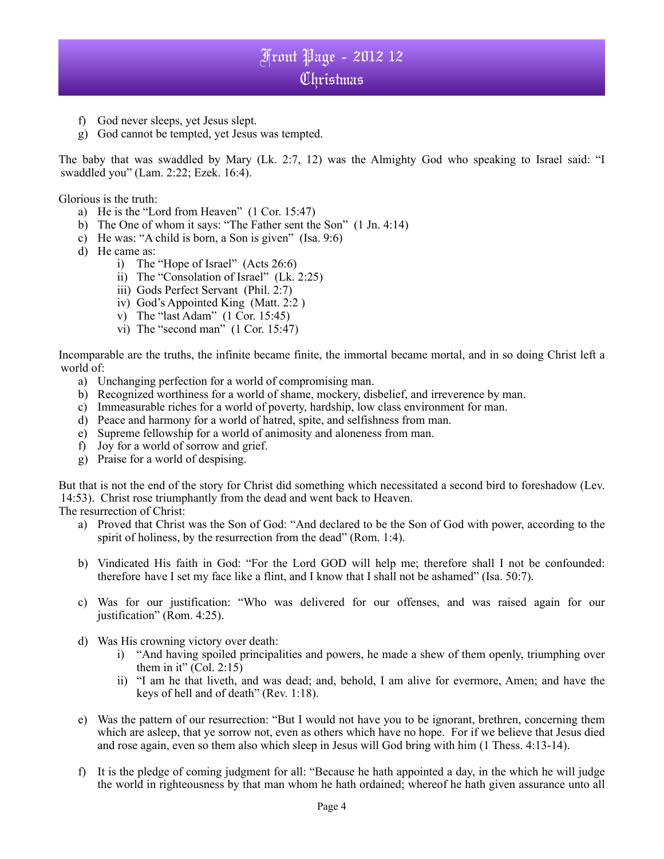- f) God never sleeps, yet Jesus slept.
- g) God cannot be tempted, yet Jesus was tempted.

The baby that was swaddled by Mary (Lk. 2:7, 12) was the Almighty God who speaking to Israel said: "I swaddled you" (Lam. 2:22; Ezek. 16:4).

Glorious is the truth:

- a) He is the "Lord from Heaven" (1 Cor. 15:47)
- b) The One of whom it says: "The Father sent the Son" (1 Jn. 4:14)
- c) He was: "A child is born, a Son is given" (Isa. 9:6)
- d) He came as:
	- i) The "Hope of Israel" (Acts 26:6)
	- ii) The "Consolation of Israel" (Lk. 2:25)
	- iii) Gods Perfect Servant (Phil. 2:7)
	- iv) God's Appointed King (Matt. 2:2 )
	- v) The "last Adam" (1 Cor. 15:45)
	- vi) The "second man" (1 Cor. 15:47)

Incomparable are the truths, the infinite became finite, the immortal became mortal, and in so doing Christ left a world of:

- a) Unchanging perfection for a world of compromising man.
- b) Recognized worthiness for a world of shame, mockery, disbelief, and irreverence by man.
- c) Immeasurable riches for a world of poverty, hardship, low class environment for man.
- d) Peace and harmony for a world of hatred, spite, and selfishness from man.
- e) Supreme fellowship for a world of animosity and aloneness from man.
- f) Joy for a world of sorrow and grief.
- g) Praise for a world of despising.

But that is not the end of the story for Christ did something which necessitated a second bird to foreshadow (Lev. 14:53). Christ rose triumphantly from the dead and went back to Heaven.

The resurrection of Christ:

- a) Proved that Christ was the Son of God: "And declared to be the Son of God with power, according to the spirit of holiness, by the resurrection from the dead" (Rom. 1:4).
- b) Vindicated His faith in God: "For the Lord GOD will help me; therefore shall I not be confounded: therefore have I set my face like a flint, and I know that I shall not be ashamed" (Isa. 50:7).
- c) Was for our justification: "Who was delivered for our offenses, and was raised again for our justification" (Rom. 4:25).
- d) Was His crowning victory over death:
	- i) "And having spoiled principalities and powers, he made a shew of them openly, triumphing over them in it"  $(Col. 2:15)$
	- ii) "I am he that liveth, and was dead; and, behold, I am alive for evermore, Amen; and have the keys of hell and of death" (Rev. 1:18).
- e) Was the pattern of our resurrection: "But I would not have you to be ignorant, brethren, concerning them which are asleep, that ye sorrow not, even as others which have no hope. For if we believe that Jesus died and rose again, even so them also which sleep in Jesus will God bring with him (1 Thess. 4:13-14).
- f) It is the pledge of coming judgment for all: "Because he hath appointed a day, in the which he will judge the world in righteousness by that man whom he hath ordained; whereof he hath given assurance unto all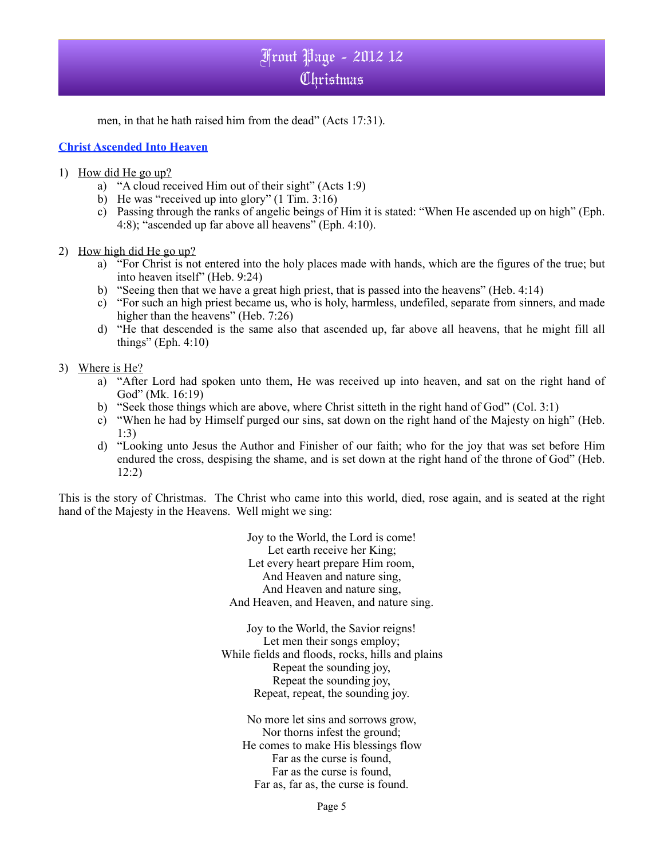men, in that he hath raised him from the dead" (Acts 17:31).

### **Christ Ascended Into Heaven**

- 1) How did He go up?
	- a) "A cloud received Him out of their sight" (Acts 1:9)
	- b) He was "received up into glory"  $(1 \text{ Tim. } 3:16)$
	- c) Passing through the ranks of angelic beings of Him it is stated: "When He ascended up on high" (Eph. 4:8); "ascended up far above all heavens" (Eph. 4:10).
- 2) How high did He go up?
	- a) "For Christ is not entered into the holy places made with hands, which are the figures of the true; but into heaven itself" (Heb. 9:24)
	- b) "Seeing then that we have a great high priest, that is passed into the heavens" (Heb. 4:14)
	- c) "For such an high priest became us, who is holy, harmless, undefiled, separate from sinners, and made higher than the heavens" (Heb. 7:26)
	- d) "He that descended is the same also that ascended up, far above all heavens, that he might fill all things" (Eph.  $4:10$ )

#### 3) Where is He?

- a) "After Lord had spoken unto them, He was received up into heaven, and sat on the right hand of God" (Mk. 16:19)
- b) "Seek those things which are above, where Christ sitteth in the right hand of God" (Col. 3:1)
- c) "When he had by Himself purged our sins, sat down on the right hand of the Majesty on high" (Heb. 1:3)
- d) "Looking unto Jesus the Author and Finisher of our faith; who for the joy that was set before Him endured the cross, despising the shame, and is set down at the right hand of the throne of God" (Heb. 12:2)

This is the story of Christmas. The Christ who came into this world, died, rose again, and is seated at the right hand of the Majesty in the Heavens. Well might we sing:

> Joy to the World, the Lord is come! Let earth receive her King; Let every heart prepare Him room, And Heaven and nature sing, And Heaven and nature sing, And Heaven, and Heaven, and nature sing.

Joy to the World, the Savior reigns! Let men their songs employ: While fields and floods, rocks, hills and plains Repeat the sounding joy, Repeat the sounding joy, Repeat, repeat, the sounding joy.

No more let sins and sorrows grow, Nor thorns infest the ground; He comes to make His blessings flow Far as the curse is found, Far as the curse is found, Far as, far as, the curse is found.